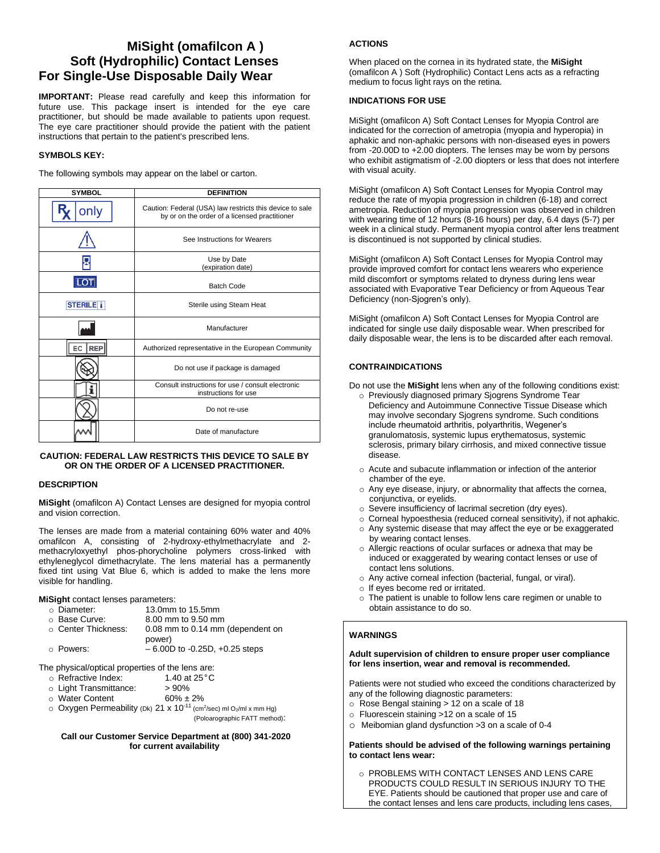# **MiSight (omafilcon A ) Soft (Hydrophilic) Contact Lenses For Single-Use Disposable Daily Wear**

**IMPORTANT:** Please read carefully and keep this information for future use. This package insert is intended for the eye care practitioner, but should be made available to patients upon request. The eye care practitioner should provide the patient with the patient instructions that pertain to the patient's prescribed lens.

## **SYMBOLS KEY:**

The following symbols may appear on the label or carton.

| <b>SYMBOL</b>    | <b>DEFINITION</b>                                                                                         |  |
|------------------|-----------------------------------------------------------------------------------------------------------|--|
| only             | Caution: Federal (USA) law restricts this device to sale<br>by or on the order of a licensed practitioner |  |
|                  | See Instructions for Wearers                                                                              |  |
|                  | Use by Date<br>(expiration date)                                                                          |  |
|                  | <b>Batch Code</b>                                                                                         |  |
| <b>STERILE I</b> | Sterile using Steam Heat                                                                                  |  |
|                  | Manufacturer                                                                                              |  |
| EC<br><b>REP</b> | Authorized representative in the European Community                                                       |  |
|                  | Do not use if package is damaged                                                                          |  |
|                  | Consult instructions for use / consult electronic<br>instructions for use                                 |  |
|                  | Do not re-use                                                                                             |  |
|                  | Date of manufacture                                                                                       |  |

## **CAUTION: FEDERAL LAW RESTRICTS THIS DEVICE TO SALE BY OR ON THE ORDER OF A LICENSED PRACTITIONER.**

#### **DESCRIPTION**

**MiSight** (omafilcon A) Contact Lenses are designed for myopia control and vision correction.

The lenses are made from a material containing 60% water and 40% omafilcon A, consisting of 2-hydroxy-ethylmethacrylate and 2 methacryloxyethyl phos-phorycholine polymers cross-linked with ethyleneglycol dimethacrylate. The lens material has a permanently fixed tint using Vat Blue 6, which is added to make the lens more visible for handling.

**MiSight** contact lenses parameters:

| .                   |                                            |  |  |
|---------------------|--------------------------------------------|--|--|
| ○ Diameter:         | 13.0mm to 15.5mm                           |  |  |
| ○ Base Curve:       | 8.00 mm to 9.50 mm                         |  |  |
| ○ Center Thickness: | 0.08 mm to 0.14 mm (dependent on<br>power) |  |  |
| ○ Powers:           | $-6.00D$ to $-0.25D, +0.25$ steps          |  |  |

The physical/optical properties of the lens are:

- o Refractive Index: 1.40 at 25°C
- o Light Transmittance: > 90%
- $\circ$  Water Content 60%  $\pm$  2%
- $\circ$  Oxygen Permeability (Dk) 21 x 10<sup>-11</sup> (cm<sup>2</sup>/sec) ml O<sub>2</sub>/ml x mm Hg)

(Poloarographic FATT method):

#### **Call our Customer Service Department at (800) 341-2020 for current availability**

## **ACTIONS**

When placed on the cornea in its hydrated state, the **MiSight** (omafilcon A ) Soft (Hydrophilic) Contact Lens acts as a refracting medium to focus light rays on the retina.

## **INDICATIONS FOR USE**

MiSight (omafilcon A) Soft Contact Lenses for Myopia Control are indicated for the correction of ametropia (myopia and hyperopia) in aphakic and non-aphakic persons with non-diseased eyes in powers from -20.00D to +2.00 diopters. The lenses may be worn by persons who exhibit astigmatism of -2.00 diopters or less that does not interfere with visual acuity.

MiSight (omafilcon A) Soft Contact Lenses for Myopia Control may reduce the rate of myopia progression in children (6-18) and correct ametropia. Reduction of myopia progression was observed in children with wearing time of 12 hours (8-16 hours) per day, 6.4 days (5-7) per week in a clinical study. Permanent myopia control after lens treatment is discontinued is not supported by clinical studies.

MiSight (omafilcon A) Soft Contact Lenses for Myopia Control may provide improved comfort for contact lens wearers who experience mild discomfort or symptoms related to dryness during lens wear associated with Evaporative Tear Deficiency or from Aqueous Tear Deficiency (non-Sjogren's only).

MiSight (omafilcon A) Soft Contact Lenses for Myopia Control are indicated for single use daily disposable wear. When prescribed for daily disposable wear, the lens is to be discarded after each removal.

## **CONTRAINDICATIONS**

Do not use the **MiSight** lens when any of the following conditions exist:

- o Previously diagnosed primary Sjogrens Syndrome Tear Deficiency and Autoimmune Connective Tissue Disease which may involve secondary Sjogrens syndrome. Such conditions include rheumatoid arthritis, polyarthritis, Wegener's granulomatosis, systemic lupus erythematosus, systemic sclerosis, primary bilary cirrhosis, and mixed connective tissue disease.
- o Acute and subacute inflammation or infection of the anterior chamber of the eye.
- o Any eye disease, injury, or abnormality that affects the cornea, conjunctiva, or eyelids.
- o Severe insufficiency of lacrimal secretion (dry eyes).
- o Corneal hypoesthesia (reduced corneal sensitivity), if not aphakic.
- o Any systemic disease that may affect the eye or be exaggerated by wearing contact lenses.
- o Allergic reactions of ocular surfaces or adnexa that may be induced or exaggerated by wearing contact lenses or use of contact lens solutions.
- o Any active corneal infection (bacterial, fungal, or viral).
- o If eyes become red or irritated.
- o The patient is unable to follow lens care regimen or unable to obtain assistance to do so.

# **WARNINGS**

**Adult supervision of children to ensure proper user compliance for lens insertion, wear and removal is recommended.** 

Patients were not studied who exceed the conditions characterized by any of the following diagnostic parameters:

- o Rose Bengal staining > 12 on a scale of 18
- o Fluorescein staining >12 on a scale of 15
- o Meibomian gland dysfunction >3 on a scale of 0-4

**Patients should be advised of the following warnings pertaining to contact lens wear:**

o PROBLEMS WITH CONTACT LENSES AND LENS CARE PRODUCTS COULD RESULT IN SERIOUS INJURY TO THE EYE. Patients should be cautioned that proper use and care of the contact lenses and lens care products, including lens cases,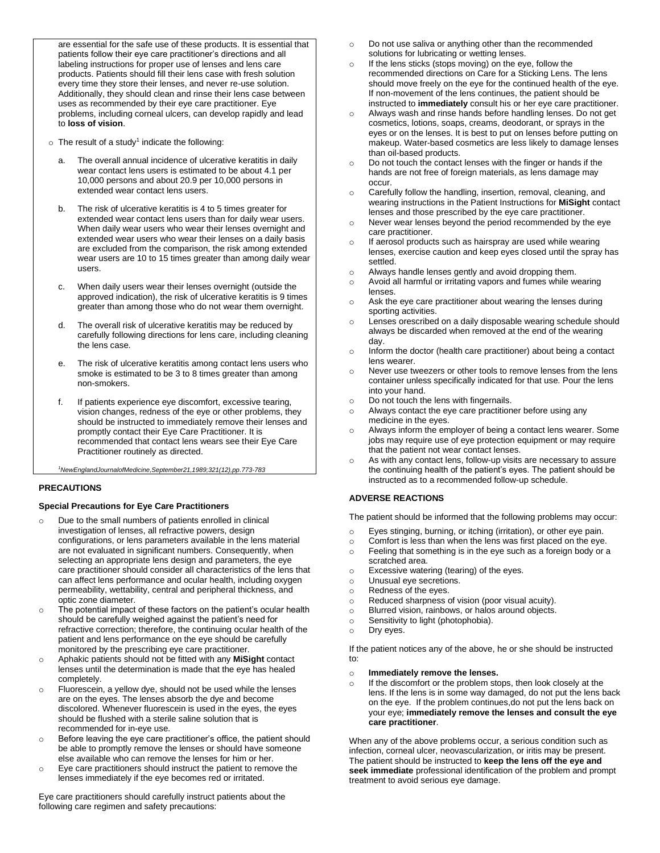are essential for the safe use of these products. It is essential that patients follow their eye care practitioner's directions and all labeling instructions for proper use of lenses and lens care products. Patients should fill their lens case with fresh solution every time they store their lenses, and never re-use solution. Additionally, they should clean and rinse their lens case between uses as recommended by their eye care practitioner. Eye problems, including corneal ulcers, can develop rapidly and lead to **loss of vision**.

- $\circ$  The result of a study<sup>1</sup> indicate the following:
	- The overall annual incidence of ulcerative keratitis in daily wear contact lens users is estimated to be about 4.1 per 10,000 persons and about 20.9 per 10,000 persons in extended wear contact lens users.
	- b. The risk of ulcerative keratitis is 4 to 5 times greater for extended wear contact lens users than for daily wear users. When daily wear users who wear their lenses overnight and extended wear users who wear their lenses on a daily basis are excluded from the comparison, the risk among extended wear users are 10 to 15 times greater than among daily wear users.
	- c. When daily users wear their lenses overnight (outside the approved indication), the risk of ulcerative keratitis is 9 times greater than among those who do not wear them overnight.
	- d. The overall risk of ulcerative keratitis may be reduced by carefully following directions for lens care, including cleaning the lens case.
	- e. The risk of ulcerative keratitis among contact lens users who smoke is estimated to be 3 to 8 times greater than among non-smokers.
	- f. If patients experience eye discomfort, excessive tearing, vision changes, redness of the eye or other problems, they should be instructed to immediately remove their lenses and promptly contact their Eye Care Practitioner. It is recommended that contact lens wears see their Eye Care Practitioner routinely as directed.

*<sup>1</sup>NewEnglandJournalofMedicine,September21,1989;321(12),pp.773-783*

## **PRECAUTIONS**

## **Special Precautions for Eye Care Practitioners**

- o Due to the small numbers of patients enrolled in clinical investigation of lenses, all refractive powers, design configurations, or lens parameters available in the lens material are not evaluated in significant numbers. Consequently, when selecting an appropriate lens design and parameters, the eye care practitioner should consider all characteristics of the lens that can affect lens performance and ocular health, including oxygen permeability, wettability, central and peripheral thickness, and optic zone diameter.
- o The potential impact of these factors on the patient's ocular health should be carefully weighed against the patient's need for refractive correction; therefore, the continuing ocular health of the patient and lens performance on the eye should be carefully monitored by the prescribing eye care practitioner.
- o Aphakic patients should not be fitted with any **MiSight** contact lenses until the determination is made that the eye has healed completely.
- o Fluorescein, a yellow dye, should not be used while the lenses are on the eyes. The lenses absorb the dye and become discolored. Whenever fluorescein is used in the eyes, the eyes should be flushed with a sterile saline solution that is recommended for in-eye use.
- o Before leaving the eye care practitioner's office, the patient should be able to promptly remove the lenses or should have someone else available who can remove the lenses for him or her.
- o Eye care practitioners should instruct the patient to remove the lenses immediately if the eye becomes red or irritated.

Eye care practitioners should carefully instruct patients about the following care regimen and safety precautions:

- o Do not use saliva or anything other than the recommended solutions for lubricating or wetting lenses.
- o If the lens sticks (stops moving) on the eye, follow the recommended directions on Care for a Sticking Lens. The lens should move freely on the eye for the continued health of the eye. If non-movement of the lens continues, the patient should be instructed to **immediately** consult his or her eye care practitioner.
- o Always wash and rinse hands before handling lenses. Do not get cosmetics, lotions, soaps, creams, deodorant, or sprays in the eyes or on the lenses. It is best to put on lenses before putting on makeup. Water-based cosmetics are less likely to damage lenses than oil-based products.
- $\circ$  Do not touch the contact lenses with the finger or hands if the hands are not free of foreign materials, as lens damage may occur.
- o Carefully follow the handling, insertion, removal, cleaning, and wearing instructions in the Patient Instructions for **MiSight** contact lenses and those prescribed by the eye care practitioner.
- o Never wear lenses beyond the period recommended by the eye care practitioner.
- o If aerosol products such as hairspray are used while wearing lenses, exercise caution and keep eyes closed until the spray has settled.
- o Always handle lenses gently and avoid dropping them.
- o Avoid all harmful or irritating vapors and fumes while wearing lenses.
- o Ask the eye care practitioner about wearing the lenses during sporting activities.
- o Lenses orescribed on a daily disposable wearing schedule should always be discarded when removed at the end of the wearing day.
- o Inform the doctor (health care practitioner) about being a contact lens wearer.
- o Never use tweezers or other tools to remove lenses from the lens container unless specifically indicated for that use. Pour the lens into your hand.
- o Do not touch the lens with fingernails.
- o Always contact the eye care practitioner before using any medicine in the eyes.
- o Always inform the employer of being a contact lens wearer. Some jobs may require use of eye protection equipment or may require that the patient not wear contact lenses.
- o As with any contact lens, follow-up visits are necessary to assure the continuing health of the patient's eyes. The patient should be instructed as to a recommended follow-up schedule.

## **ADVERSE REACTIONS**

The patient should be informed that the following problems may occur:

- o Eyes stinging, burning, or itching (irritation), or other eye pain.
- o Comfort is less than when the lens was first placed on the eye.
- o Feeling that something is in the eye such as a foreign body or a scratched area.
- o Excessive watering (tearing) of the eyes.
- o Unusual eye secretions.
- o Redness of the eyes.
- o Reduced sharpness of vision (poor visual acuity).
- o Blurred vision, rainbows, or halos around objects.
- o Sensitivity to light (photophobia).
- o Dry eyes.

If the patient notices any of the above, he or she should be instructed to:

#### o **Immediately remove the lenses.**

o If the discomfort or the problem stops, then look closely at the lens. If the lens is in some way damaged, do not put the lens back on the eye. If the problem continues,do not put the lens back on your eye; **immediately remove the lenses and consult the eye care practitioner**.

When any of the above problems occur, a serious condition such as infection, corneal ulcer, neovascularization, or iritis may be present. The patient should be instructed to **keep the lens off the eye and seek immediate** professional identification of the problem and prompt treatment to avoid serious eye damage.